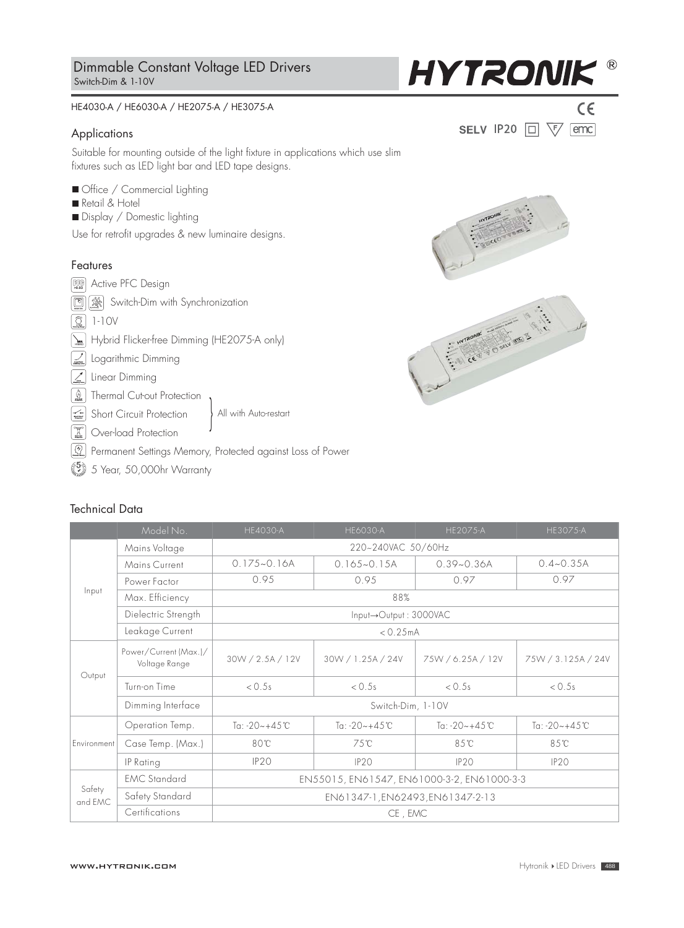#### HE4030-A / HE6030-A / HE2075-A / HE3075-A

### Applications

Suitable for mounting outside of the light fixture in applications which use slim fixtures such as LED light bar and LED tape designs.

- Office / Commercial Lighting
- Retail & Hotel
- Display / Domestic lighting

Use for retrofit upgrades & new luminaire designs.

## Features

*Synchrony*  Switch-Dim with Synchronization **>0.93** Active PFC Design **SET Thermal Cut-out Protection** All with Auto-restart **II** Over-load Protection Short Circuit Protection  $\circled{2}$  1-10V **Logarithmic Dimming Z** Linear Dimming [Markt] Hybrid Flicker-free Dimming (HE2075-A only)

 $\boxed{\textcircled{\tiny 2}}$  Permanent Settings Memory, Protected against Loss of Power

 $\binom{5}{2}$  5 Year, 50,000hr Warranty

# Technical Data

|                   | Model No.                              | <b>HE4030-A</b>                            | <b>HE6030-A</b>    | <b>HE2075-A</b>    | <b>HE3075-A</b>    |  |  |
|-------------------|----------------------------------------|--------------------------------------------|--------------------|--------------------|--------------------|--|--|
| Input             | Mains Voltage                          | 220~240VAC 50/60Hz                         |                    |                    |                    |  |  |
|                   | Mains Current                          | $0.175 - 0.16A$                            | $0.165 - 0.15A$    | $0.39 - 0.36A$     | $0.4 - 0.35A$      |  |  |
|                   | Power Factor                           | 0.95                                       | 0.95               | 0.97               | 0.97               |  |  |
|                   | Max. Efficiency                        | 88%                                        |                    |                    |                    |  |  |
|                   | Dielectric Strength                    | Input->Output: 3000VAC                     |                    |                    |                    |  |  |
|                   | Leakage Current                        | < 0.25mA                                   |                    |                    |                    |  |  |
| Output            | Power/Current (Max.)/<br>Voltage Range | 30W / 2.5A / 12V                           | 30W / 1.25A / 24V  | 75W / 6.25A / 12V  | 75W / 3.125A / 24V |  |  |
|                   | Turn-on Time                           | < 0.5s                                     | < 0.5s             | < 0.5s             | < 0.5s             |  |  |
|                   | Dimming Interface                      | Switch-Dim, 1-10V                          |                    |                    |                    |  |  |
| Environment       | Operation Temp.                        | Ta: $-20 - +45$ °C                         | Ta: $-20 - +45$ °C | Ta: $-20 - +45$ °C | Ta: $-20 - +45$ °C |  |  |
|                   | Case Temp. (Max.)                      | 80°C                                       | 75℃                | 85°C               | 85°C               |  |  |
|                   | IP Rating                              | IP <sub>20</sub>                           | IP20               | IP20               | IP <sub>20</sub>   |  |  |
| Safety<br>and EMC | <b>EMC</b> Standard                    | EN55015, EN61547, EN61000-3-2, EN61000-3-3 |                    |                    |                    |  |  |
|                   | Safety Standard                        | EN61347-1, EN62493, EN61347-2-13           |                    |                    |                    |  |  |
|                   | Certifications                         | CE, EMC                                    |                    |                    |                    |  |  |



**HYTRONIK®** 

SELV IP20  $\Box$   $\overline{\forall}$  emc

 $C\epsilon$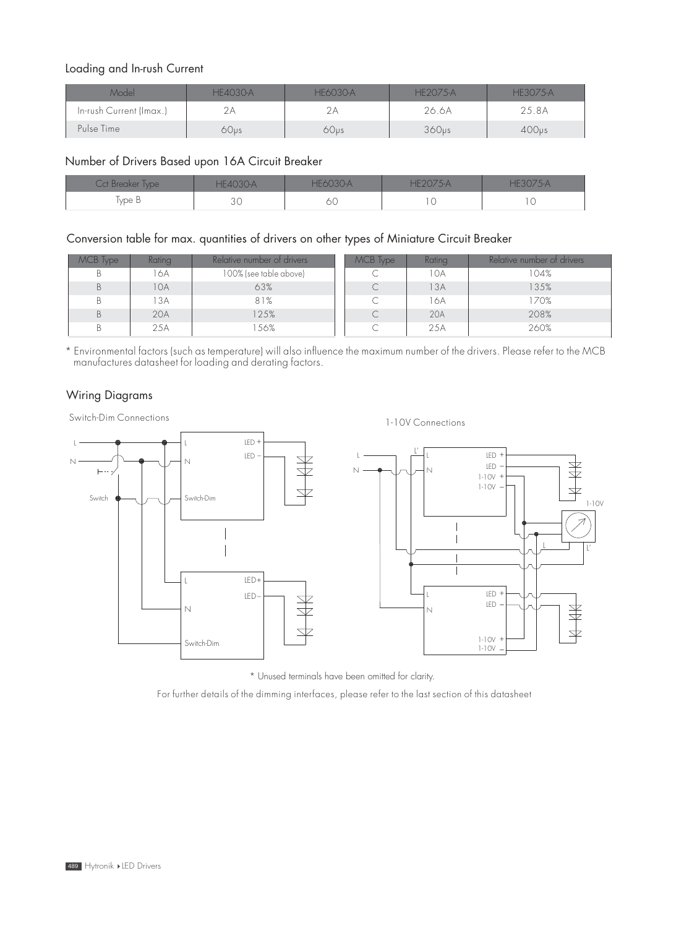# Loading and In-rush Current

| Model                   | <b>HF4030-A</b> | <b>HF6030-A</b>  | HF2075-A          | HF3075-A          |
|-------------------------|-----------------|------------------|-------------------|-------------------|
| In-rush Current (Imax.) |                 |                  | 26.6A             | 25.8A             |
| Pulse Time              | 60us            | 60 <sub>us</sub> | 360 <sub>vs</sub> | 400 <sub>us</sub> |

# Number of Drivers Based upon 16A Circuit Breaker

| Cct Breaker Type I | <b>HF4030-A</b> | HF6030-A | $H/20/5-A$ |  |
|--------------------|-----------------|----------|------------|--|
| Type B             | いし              | ОC       |            |  |

# Conversion table for max. quantities of drivers on other types of Miniature Circuit Breaker

| MCB Type | Rating | Relative number of drivers | MCB Type | Rating | Relative number of drivers |
|----------|--------|----------------------------|----------|--------|----------------------------|
| В        | 6A     | 100% (see table above)     |          | 10A    | 104%                       |
| B        | I OA   | 63%                        |          | ' 3A   | 35%                        |
| Β        | 3A     | 81%                        |          | 16A    | 170%                       |
| B        | 20A    | 25%                        |          | 20A    | 208%                       |
|          | 25A    | 56%                        |          | 25A    | 260%                       |

\* Environmental factors (such as temperature) will also influence the maximum number of the drivers. Please refer to the MCB manufactures datasheet for loading and derating factors.

# Wiring Diagrams

Switch-Dim Connections 1-10V Connections



\* Unused terminals have been omitted for clarity.

For further details of the dimming interfaces, please refer to the last section of this datasheet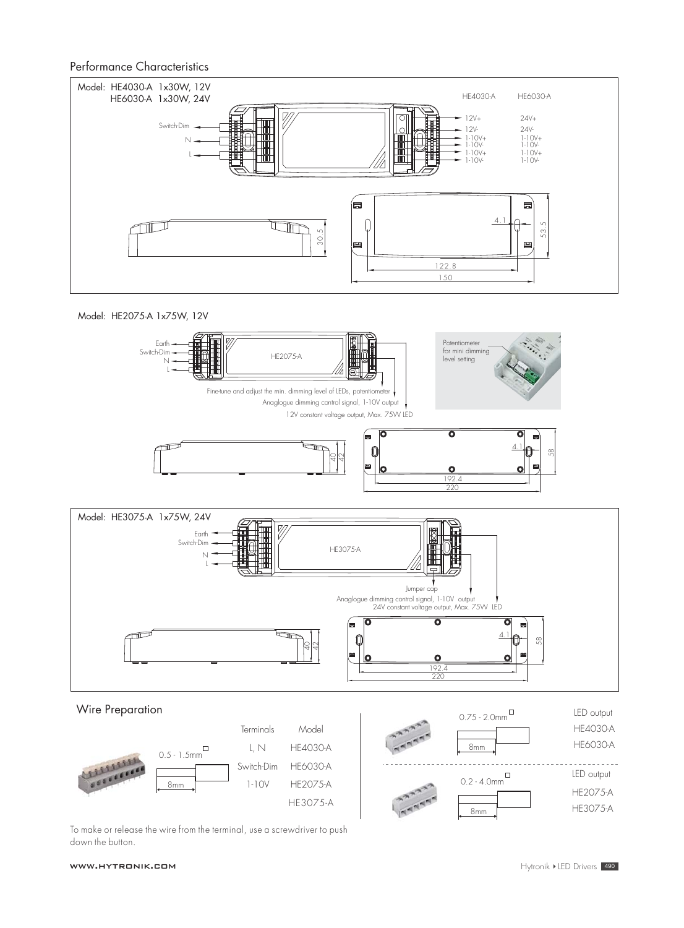### Performance Characteristics











To make or release the wire from the terminal, use a screwdriver to push down the button.

#### www.hytronik.com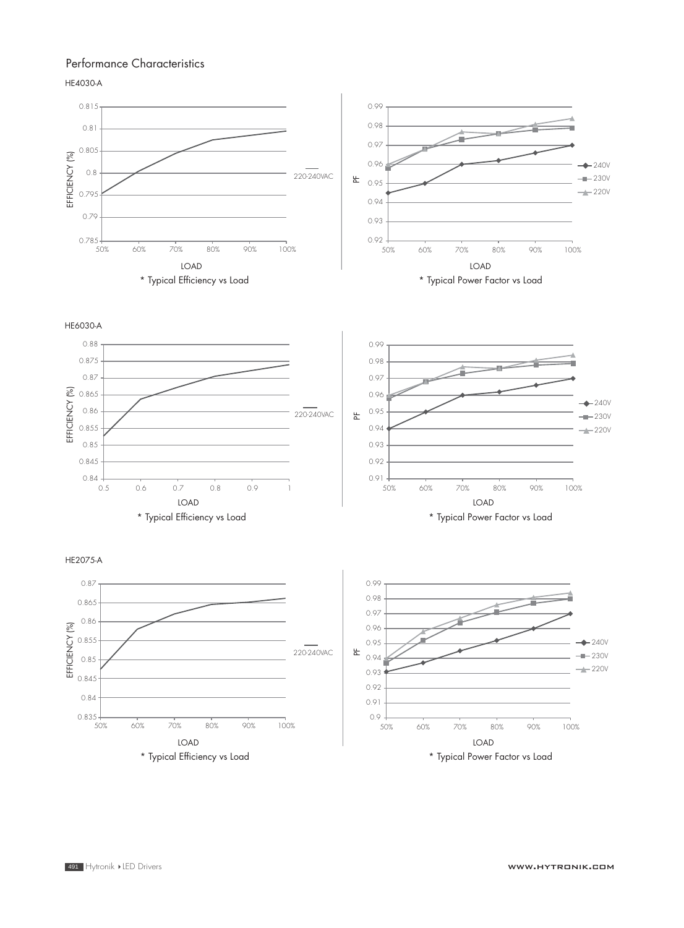# Performance Characteristics

HE4030-A